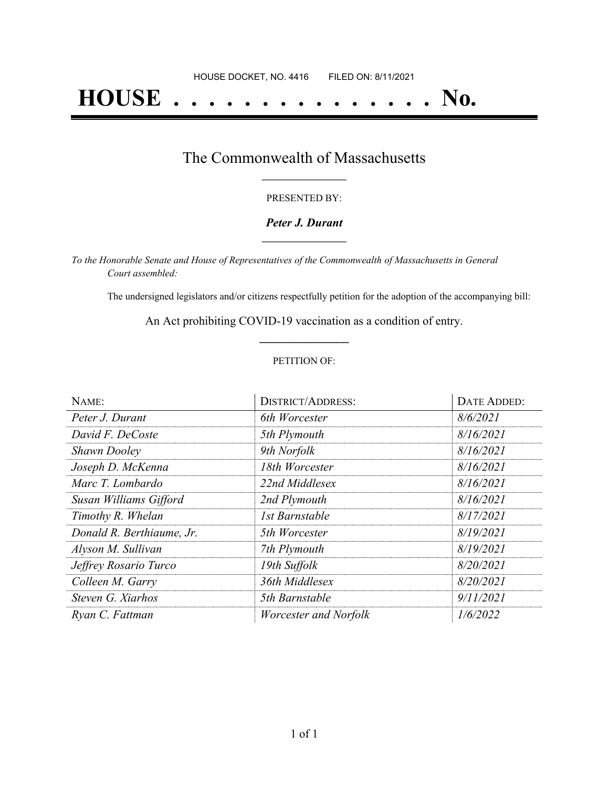# **HOUSE . . . . . . . . . . . . . . . No.**

### The Commonwealth of Massachusetts **\_\_\_\_\_\_\_\_\_\_\_\_\_\_\_\_\_**

#### PRESENTED BY:

#### *Peter J. Durant* **\_\_\_\_\_\_\_\_\_\_\_\_\_\_\_\_\_**

*To the Honorable Senate and House of Representatives of the Commonwealth of Massachusetts in General Court assembled:*

The undersigned legislators and/or citizens respectfully petition for the adoption of the accompanying bill:

An Act prohibiting COVID-19 vaccination as a condition of entry. **\_\_\_\_\_\_\_\_\_\_\_\_\_\_\_**

#### PETITION OF:

| NAME:                     | <b>DISTRICT/ADDRESS:</b> | DATE ADDED: |
|---------------------------|--------------------------|-------------|
| Peter J. Durant           | 6th Worcester            | 8/6/2021    |
| David F. DeCoste          | 5th Plymouth             | 8/16/2021   |
| <b>Shawn Dooley</b>       | 9th Norfolk              | 8/16/2021   |
| Joseph D. McKenna         | 18th Worcester           | 8/16/2021   |
| Marc T. Lombardo          | 22nd Middlesex           | 8/16/2021   |
| Susan Williams Gifford    | 2nd Plymouth             | 8/16/2021   |
| Timothy R. Whelan         | 1st Barnstable           | 8/17/2021   |
| Donald R. Berthiaume, Jr. | 5th Worcester            | 8/19/2021   |
| Alyson M. Sullivan        | 7th Plymouth             | 8/19/2021   |
| Jeffrey Rosario Turco     | 19th Suffolk             | 8/20/2021   |
| Colleen M. Garry          | 36th Middlesex           | 8/20/2021   |
| Steven G. Xiarhos         | 5th Barnstable           | 9/11/2021   |
| Ryan C. Fattman           | Worcester and Norfolk    | 1/6/2022    |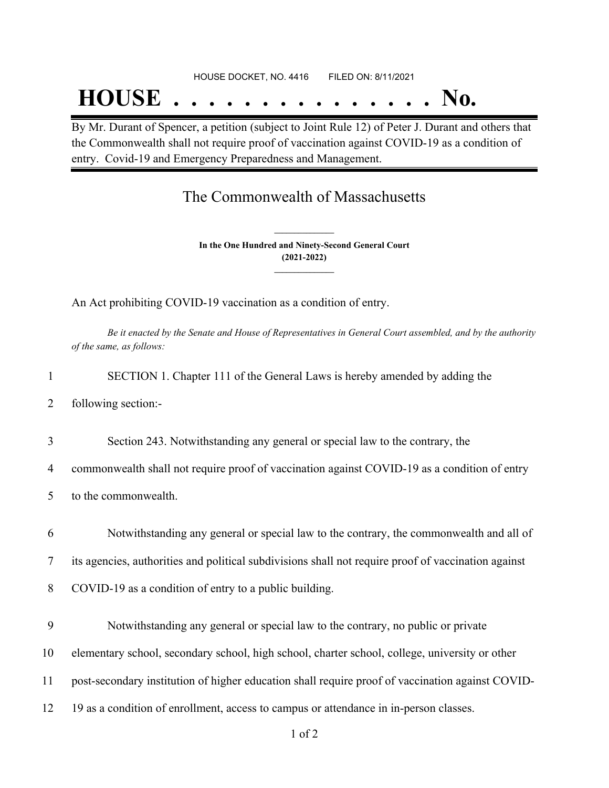## **HOUSE . . . . . . . . . . . . . . . No.**

By Mr. Durant of Spencer, a petition (subject to Joint Rule 12) of Peter J. Durant and others that the Commonwealth shall not require proof of vaccination against COVID-19 as a condition of entry. Covid-19 and Emergency Preparedness and Management.

### The Commonwealth of Massachusetts

**In the One Hundred and Ninety-Second General Court (2021-2022) \_\_\_\_\_\_\_\_\_\_\_\_\_\_\_**

**\_\_\_\_\_\_\_\_\_\_\_\_\_\_\_**

An Act prohibiting COVID-19 vaccination as a condition of entry.

Be it enacted by the Senate and House of Representatives in General Court assembled, and by the authority *of the same, as follows:*

|  |  | SECTION 1. Chapter 111 of the General Laws is hereby amended by adding the |  |
|--|--|----------------------------------------------------------------------------|--|
|  |  |                                                                            |  |

2 following section:-

3 Section 243. Notwithstanding any general or special law to the contrary, the

4 commonwealth shall not require proof of vaccination against COVID-19 as a condition of entry

- 5 to the commonwealth.
- 6 Notwithstanding any general or special law to the contrary, the commonwealth and all of

7 its agencies, authorities and political subdivisions shall not require proof of vaccination against

- 8 COVID-19 as a condition of entry to a public building.
- 9 Notwithstanding any general or special law to the contrary, no public or private

10 elementary school, secondary school, high school, charter school, college, university or other

- 11 post-secondary institution of higher education shall require proof of vaccination against COVID-
- 12 19 as a condition of enrollment, access to campus or attendance in in-person classes.